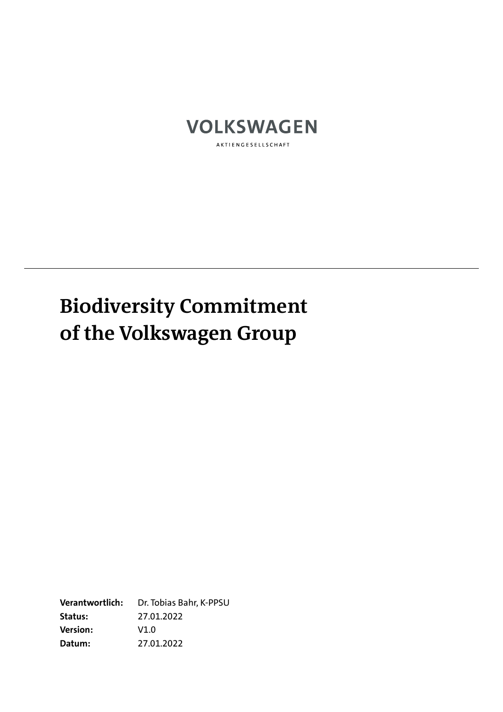

AKTIENGESELLSCHAFT

## **Biodiversity Commitment of the Volkswagen Group**

**Verantwortlich:** Dr. Tobias Bahr, K-PPSU **Status:** 27.01.2022 **Version:** V1.0 **Datum:** 27.01.2022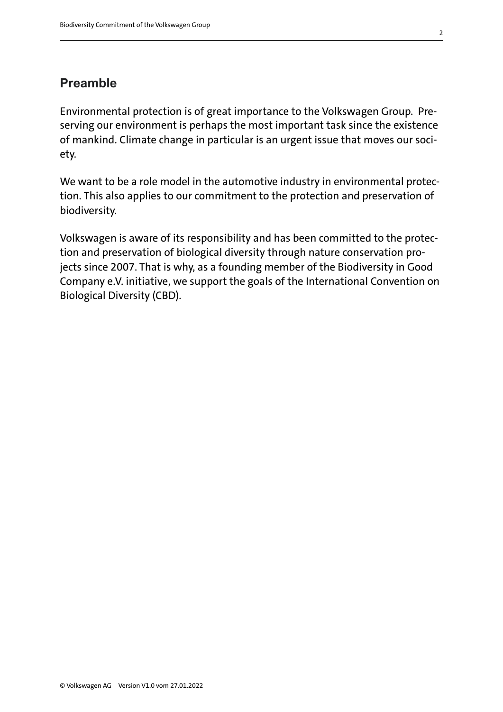## **Preamble**

Environmental protection is of great importance to the Volkswagen Group. Preserving our environment is perhaps the most important task since the existence of mankind. Climate change in particular is an urgent issue that moves our society.

We want to be a role model in the automotive industry in environmental protection. This also applies to our commitment to the protection and preservation of biodiversity.

Volkswagen is aware of its responsibility and has been committed to the protection and preservation of biological diversity through nature conservation projects since 2007. That is why, as a founding member of the Biodiversity in Good Company e.V. initiative, we support the goals of the International Convention on Biological Diversity (CBD).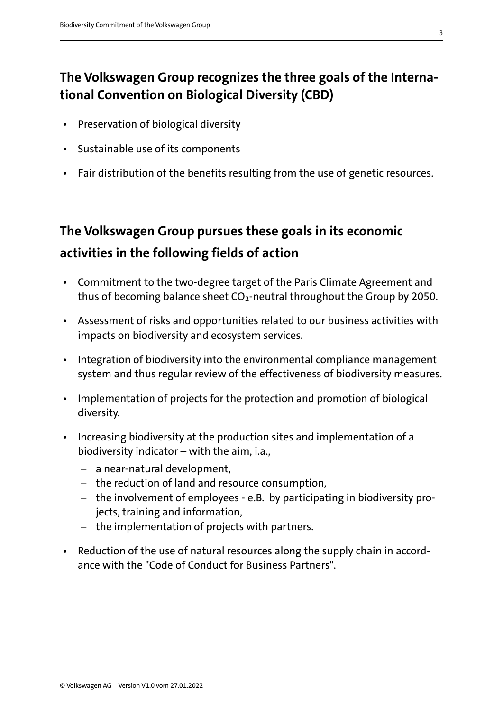## **The Volkswagen Group recognizes the three goals of the International Convention on Biological Diversity (CBD)**

- Preservation of biological diversity
- Sustainable use of its components
- Fair distribution of the benefits resulting from the use of genetic resources.

## **The Volkswagen Group pursues these goals in its economic activities in the following fields of action**

- Commitment to the two-degree target of the Paris Climate Agreement and thus of becoming balance sheet CO2-neutral throughout the Group by 2050.
- Assessment of risks and opportunities related to our business activities with impacts on biodiversity and ecosystem services.
- Integration of biodiversity into the environmental compliance management system and thus regular review of the effectiveness of biodiversity measures.
- Implementation of projects for the protection and promotion of biological diversity.
- Increasing biodiversity at the production sites and implementation of a biodiversity indicator – with the aim, i.a.,
	- − a near-natural development,
	- − the reduction of land and resource consumption,
	- − the involvement of employees e.B. by participating in biodiversity projects, training and information,
	- − the implementation of projects with partners.
- Reduction of the use of natural resources along the supply chain in accordance with the "Code of Conduct for Business Partners".